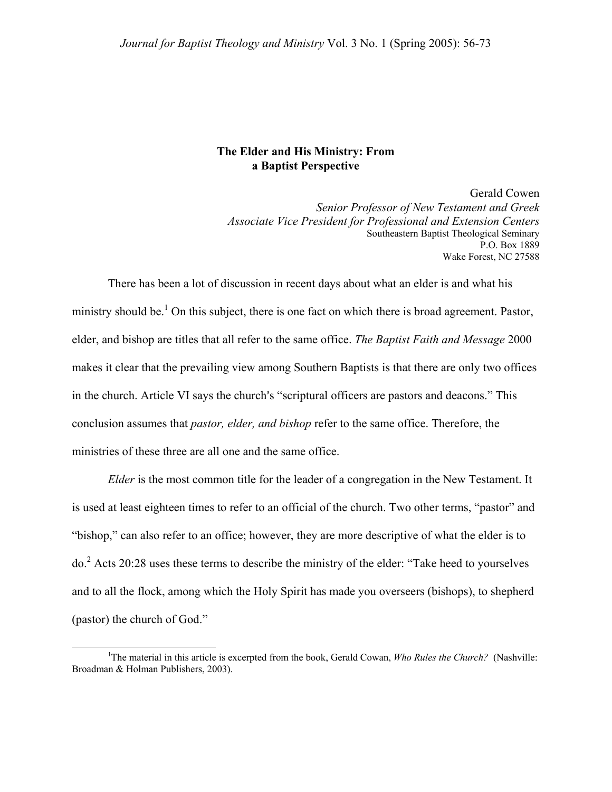# **The Elder and His Ministry: From a Baptist Perspective**

Gerald Cowen *Senior Professor of New Testament and Greek Associate Vice President for Professional and Extension Centers* Southeastern Baptist Theological Seminary P.O. Box 1889 Wake Forest, NC 27588

There has been a lot of discussion in recent days about what an elder is and what his ministry should be.<sup>[1](#page-0-0)</sup> On this subject, there is one fact on which there is broad agreement. Pastor, elder, and bishop are titles that all refer to the same office. *The Baptist Faith and Message* 2000 makes it clear that the prevailing view among Southern Baptists is that there are only two offices in the church. Article VI says the church's "scriptural officers are pastors and deacons." This conclusion assumes that *pastor, elder, and bishop* refer to the same office. Therefore, the ministries of these three are all one and the same office.

*Elder* is the most common title for the leader of a congregation in the New Testament. It is used at least eighteen times to refer to an official of the church. Two other terms, "pastor" and "bishop," can also refer to an office; however, they are more descriptive of what the elder is to  $do.<sup>2</sup>$  $do.<sup>2</sup>$  $do.<sup>2</sup>$  Acts 20:28 uses these terms to describe the ministry of the elder: "Take heed to yourselves and to all the flock, among which the Holy Spirit has made you overseers (bishops), to shepherd (pastor) the church of God."

<span id="page-0-1"></span><span id="page-0-0"></span><sup>&</sup>lt;u>1</u> <sup>1</sup>The material in this article is excerpted from the book, Gerald Cowan, *Who Rules the Church?* (Nashville: Broadman & Holman Publishers, 2003).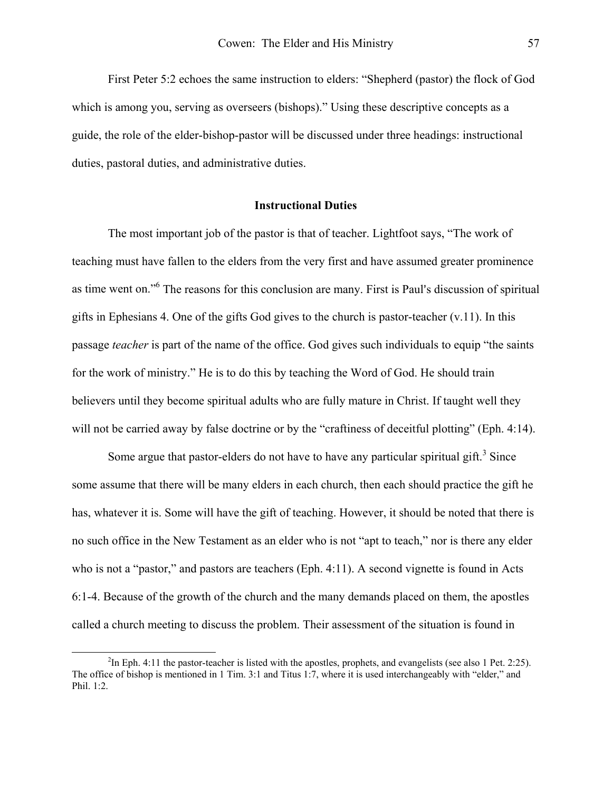<span id="page-1-0"></span>First Peter 5:2 echoes the same instruction to elders: "Shepherd (pastor) the flock of God which is among you, serving as overseers (bishops)." Using these descriptive concepts as a guide, the role of the elder-bishop-pastor will be discussed under three headings: instructional duties, pastoral duties, and administrative duties.

### **Instructional Duties**

The most important job of the pastor is that of teacher. Lightfoot says, "The work of teaching must have fallen to the elders from the very first and have assumed greater prominence as time went on."<sup>6</sup> The reasons for this conclusion are many. First is Paul's discussion of spiritual gifts in Ephesians 4. One of the gifts God gives to the church is pastor-teacher (v.11). In this passage *teacher* is part of the name of the office. God gives such individuals to equip "the saints for the work of ministry." He is to do this by teaching the Word of God. He should train believers until they become spiritual adults who are fully mature in Christ. If taught well they will not be carried away by false doctrine or by the "craftiness of deceitful plotting" (Eph. 4:14).

Some argue that pastor-elders do not have to have any particular spiritual gift.<sup>[3](#page-1-0)</sup> Since some assume that there will be many elders in each church, then each should practice the gift he has, whatever it is. Some will have the gift of teaching. However, it should be noted that there is no such office in the New Testament as an elder who is not "apt to teach," nor is there any elder who is not a "pastor," and pastors are teachers (Eph. 4:11). A second vignette is found in Acts 6:1-4. Because of the growth of the church and the many demands placed on them, the apostles called a church meeting to discuss the problem. Their assessment of the situation is found in

 $\overline{\phantom{a}}$  ${}^{2}$ In Eph. 4:11 the pastor-teacher is listed with the apostles, prophets, and evangelists (see also 1 Pet. 2:25). The office of bishop is mentioned in 1 Tim. 3:1 and Titus 1:7, where it is used interchangeably with "elder," and Phil. 1:2.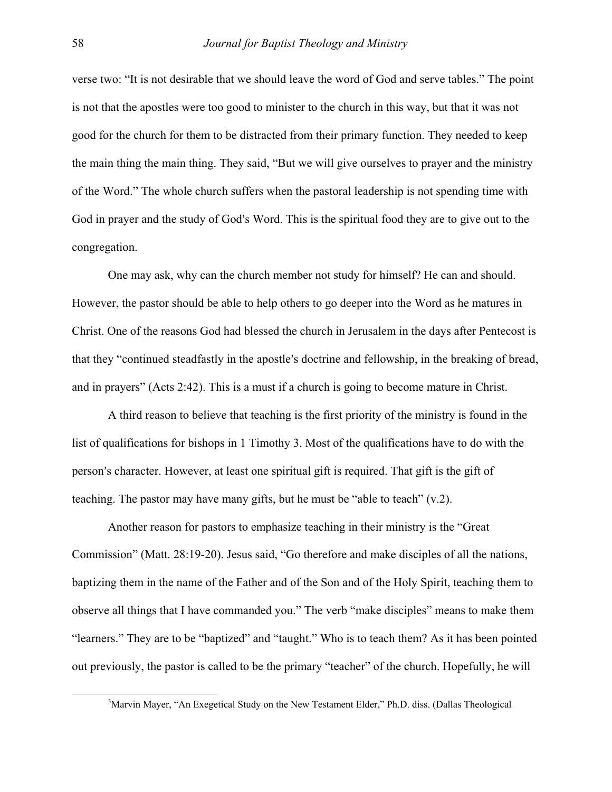verse two: "It is not desirable that we should leave the word of God and serve tables." The point is not that the apostles were too good to minister to the church in this way, but that it was not good for the church for them to be distracted from their primary function. They needed to keep the main thing the main thing. They said, "But we will give ourselves to prayer and the ministry of the Word." The whole church suffers when the pastoral leadership is not spending time with God in prayer and the study of God's Word. This is the spiritual food they are to give out to the congregation.

One may ask, why can the church member not study for himself? He can and should. However, the pastor should be able to help others to go deeper into the Word as he matures in Christ. One of the reasons God had blessed the church in Jerusalem in the days after Pentecost is that they "continued steadfastly in the apostle's doctrine and fellowship, in the breaking of bread, and in prayers" (Acts 2:42). This is a must if a church is going to become mature in Christ.

A third reason to believe that teaching is the first priority of the ministry is found in the list of qualifications for bishops in 1 Timothy 3. Most of the qualifications have to do with the person's character. However, at least one spiritual gift is required. That gift is the gift of teaching. The pastor may have many gifts, but he must be "able to teach" (v.2).

Another reason for pastors to emphasize teaching in their ministry is the "Great Commission" (Matt. 28:19-20). Jesus said, "Go therefore and make disciples of all the nations, baptizing them in the name of the Father and of the Son and of the Holy Spirit, teaching them to observe all things that I have commanded you." The verb "make disciples" means to make them "learners." They are to be "baptized" and "taught." Who is to teach them? As it has been pointed out previously, the pastor is called to be the primary "teacher" of the church. Hopefully, he will

 $\frac{3}{3}$ <sup>3</sup>Marvin Mayer, "An Exegetical Study on the New Testament Elder," Ph.D. diss. (Dallas Theological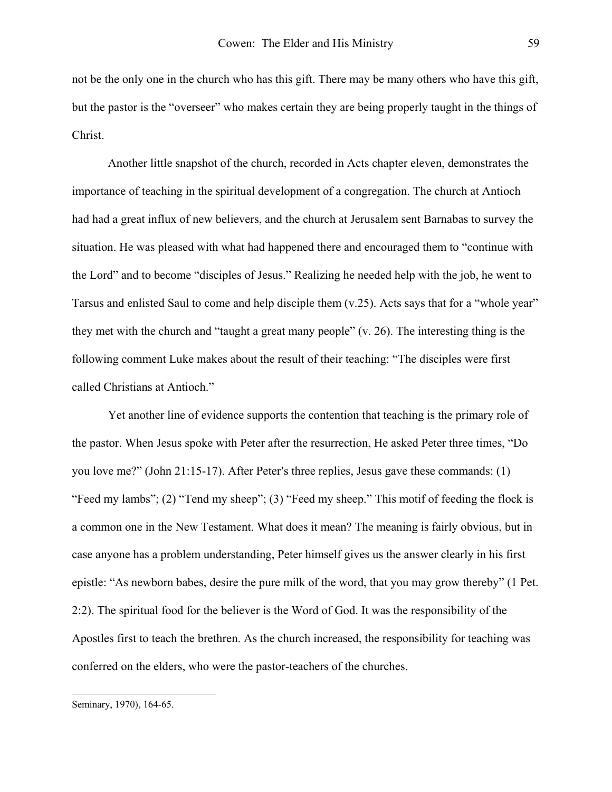not be the only one in the church who has this gift. There may be many others who have this gift, but the pastor is the "overseer" who makes certain they are being properly taught in the things of Christ.

Another little snapshot of the church, recorded in Acts chapter eleven, demonstrates the importance of teaching in the spiritual development of a congregation. The church at Antioch had had a great influx of new believers, and the church at Jerusalem sent Barnabas to survey the situation. He was pleased with what had happened there and encouraged them to "continue with the Lord" and to become "disciples of Jesus." Realizing he needed help with the job, he went to Tarsus and enlisted Saul to come and help disciple them (v.25). Acts says that for a "whole year" they met with the church and "taught a great many people" (v. 26). The interesting thing is the following comment Luke makes about the result of their teaching: "The disciples were first called Christians at Antioch."

Yet another line of evidence supports the contention that teaching is the primary role of the pastor. When Jesus spoke with Peter after the resurrection, He asked Peter three times, "Do you love me?" (John 21:15-17). After Peter's three replies, Jesus gave these commands:  $(1)$ "Feed my lambs"; (2) "Tend my sheep"; (3) "Feed my sheep." This motif of feeding the flock is a common one in the New Testament. What does it mean? The meaning is fairly obvious, but in case anyone has a problem understanding, Peter himself gives us the answer clearly in his first epistle: "As newborn babes, desire the pure milk of the word, that you may grow thereby" (1 Pet. 2:2). The spiritual food for the believer is the Word of God. It was the responsibility of the Apostles first to teach the brethren. As the church increased, the responsibility for teaching was conferred on the elders, who were the pastor-teachers of the churches.

 $\overline{a}$ 

Seminary, 1970), 164-65.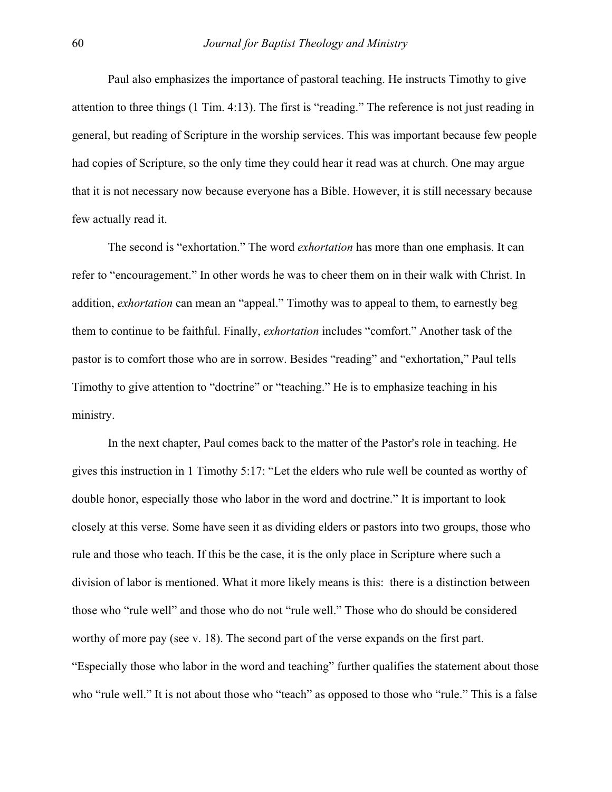Paul also emphasizes the importance of pastoral teaching. He instructs Timothy to give attention to three things (1 Tim. 4:13). The first is "reading." The reference is not just reading in general, but reading of Scripture in the worship services. This was important because few people had copies of Scripture, so the only time they could hear it read was at church. One may argue that it is not necessary now because everyone has a Bible. However, it is still necessary because few actually read it.

The second is "exhortation." The word *exhortation* has more than one emphasis. It can refer to "encouragement." In other words he was to cheer them on in their walk with Christ. In addition, *exhortation* can mean an "appeal." Timothy was to appeal to them, to earnestly beg them to continue to be faithful. Finally, *exhortation* includes "comfort." Another task of the pastor is to comfort those who are in sorrow. Besides "reading" and "exhortation," Paul tells Timothy to give attention to "doctrine" or "teaching." He is to emphasize teaching in his ministry.

In the next chapter, Paul comes back to the matter of the Pastor's role in teaching. He gives this instruction in 1 Timothy 5:17: "Let the elders who rule well be counted as worthy of double honor, especially those who labor in the word and doctrine." It is important to look closely at this verse. Some have seen it as dividing elders or pastors into two groups, those who rule and those who teach. If this be the case, it is the only place in Scripture where such a division of labor is mentioned. What it more likely means is this: there is a distinction between those who "rule well" and those who do not "rule well." Those who do should be considered worthy of more pay (see v. 18). The second part of the verse expands on the first part. "Especially those who labor in the word and teaching" further qualifies the statement about those who "rule well." It is not about those who "teach" as opposed to those who "rule." This is a false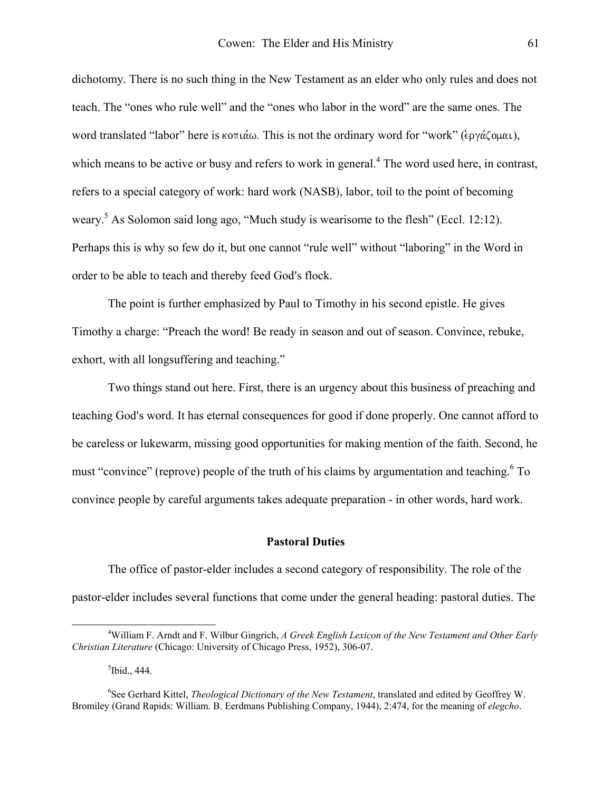dichotomy. There is no such thing in the New Testament as an elder who only rules and does not teach. The "ones who rule well" and the "ones who labor in the word" are the same ones. The word translated "labor" here is κοπιάω. This is not the ordinary word for "work" (εργάζομαι), which means to be active or busy and refers to work in general.<sup>[4](#page-5-0)</sup> The word used here, in contrast, refers to a special category of work: hard work (NASB), labor, toil to the point of becoming weary.<sup>[5](#page-5-1)</sup> As Solomon said long ago, "Much study is wearisome to the flesh" (Eccl. 12:12). Perhaps this is why so few do it, but one cannot "rule well" without "laboring" in the Word in order to be able to teach and thereby feed God's flock.

The point is further emphasized by Paul to Timothy in his second epistle. He gives Timothy a charge: "Preach the word! Be ready in season and out of season. Convince, rebuke, exhort, with all longsuffering and teaching."

Two things stand out here. First, there is an urgency about this business of preaching and teaching God's word. It has eternal consequences for good if done properly. One cannot afford to be careless or lukewarm, missing good opportunities for making mention of the faith. Second, he must "convince" (reprove) people of the truth of his claims by argumentation and teaching. <sup>6</sup> To convince people by careful arguments takes adequate preparation - in other words, hard work.

## **Pastoral Duties**

The office of pastor-elder includes a second category of responsibility. The role of the pastor-elder includes several functions that come under the general heading: pastoral duties. The

<span id="page-5-2"></span><span id="page-5-1"></span><span id="page-5-0"></span> $<sup>5</sup>$ Ibid., 444.</sup>

 $\overline{a}$ William F. Arndt and F. Wilbur Gingrich, *A Greek English Lexicon of the New Testament and Other Early Christian Literature* (Chicago: University of Chicago Press, 1952), 306-07.

<sup>6</sup> See Gerhard Kittel, *Theological Dictionary of the New Testament*, translated and edited by Geoffrey W. Bromiley (Grand Rapids: William. B. Eerdmans Publishing Company, 1944), 2:474, for the meaning of *elegcho*.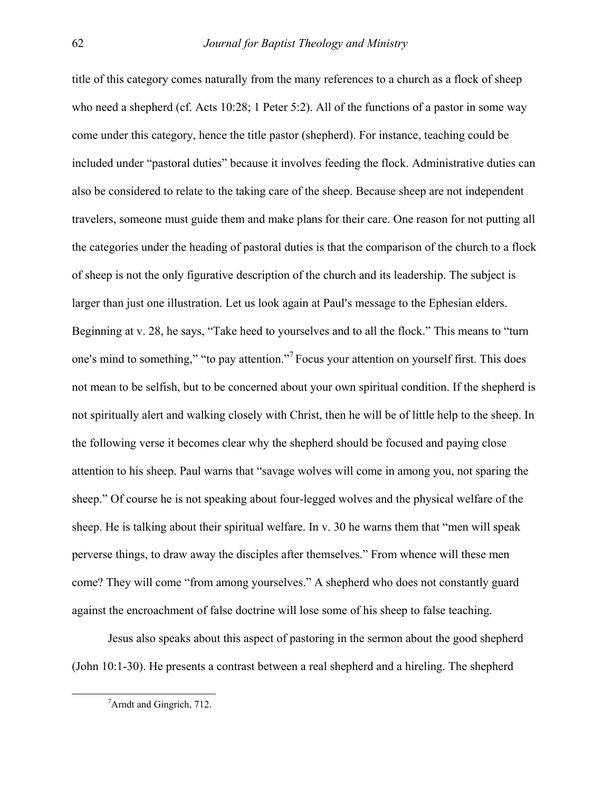title of this category comes naturally from the many references to a church as a flock of sheep who need a shepherd (cf. Acts 10:28; 1 Peter 5:2). All of the functions of a pastor in some way come under this category, hence the title pastor (shepherd). For instance, teaching could be included under "pastoral duties" because it involves feeding the flock. Administrative duties can also be considered to relate to the taking care of the sheep. Because sheep are not independent travelers, someone must guide them and make plans for their care. One reason for not putting all the categories under the heading of pastoral duties is that the comparison of the church to a flock of sheep is not the only figurative description of the church and its leadership. The subject is larger than just one illustration. Let us look again at Paul's message to the Ephesian elders. Beginning at v. 28, he says, "Take heed to yourselves and to all the flock." This means to "turn one's mind to something," "to pay attention."<sup>7</sup> Focus your attention on yourself first. This does not mean to be selfish, but to be concerned about your own spiritual condition. If the shepherd is not spiritually alert and walking closely with Christ, then he will be of little help to the sheep. In the following verse it becomes clear why the shepherd should be focused and paying close attention to his sheep. Paul warns that "savage wolves will come in among you, not sparing the sheep." Of course he is not speaking about four-legged wolves and the physical welfare of the sheep. He is talking about their spiritual welfare. In v. 30 he warns them that "men will speak perverse things, to draw away the disciples after themselves." From whence will these men come? They will come "from among yourselves." A shepherd who does not constantly guard against the encroachment of false doctrine will lose some of his sheep to false teaching.

Jesus also speaks about this aspect of pastoring in the sermon about the good shepherd (John 10:1-30). He presents a contrast between a real shepherd and a hireling. The shepherd

<span id="page-6-0"></span> <sup>7</sup> <sup>7</sup>Arndt and Gingrich, 712.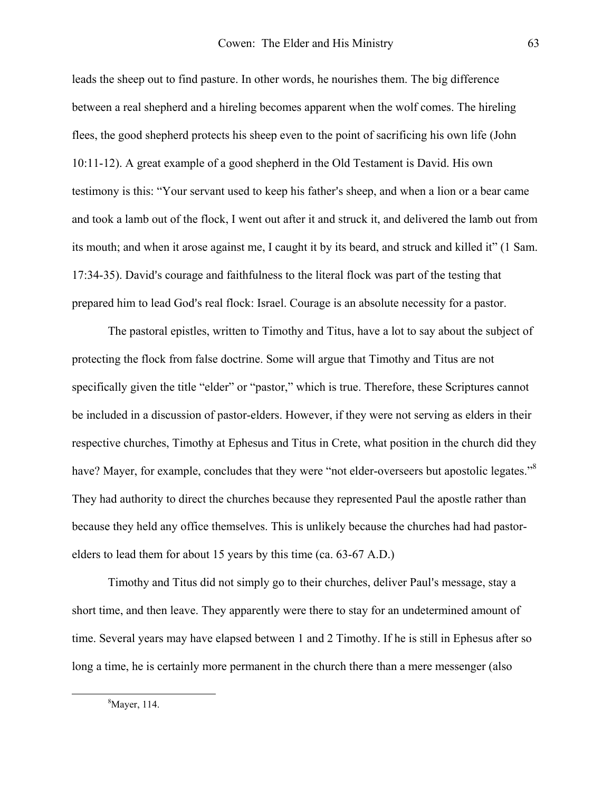leads the sheep out to find pasture. In other words, he nourishes them. The big difference between a real shepherd and a hireling becomes apparent when the wolf comes. The hireling flees, the good shepherd protects his sheep even to the point of sacrificing his own life (John 10:11-12). A great example of a good shepherd in the Old Testament is David. His own testimony is this: "Your servant used to keep his father's sheep, and when a lion or a bear came and took a lamb out of the flock, I went out after it and struck it, and delivered the lamb out from its mouth; and when it arose against me, I caught it by its beard, and struck and killed it" (1 Sam. 17:34-35). David's courage and faithfulness to the literal flock was part of the testing that prepared him to lead God's real flock: Israel. Courage is an absolute necessity for a pastor.

The pastoral epistles, written to Timothy and Titus, have a lot to say about the subject of protecting the flock from false doctrine. Some will argue that Timothy and Titus are not specifically given the title "elder" or "pastor," which is true. Therefore, these Scriptures cannot be included in a discussion of pastor-elders. However, if they were not serving as elders in their respective churches, Timothy at Ephesus and Titus in Crete, what position in the church did they have? Mayer, for example, concludes that they were "not elder-overseers but apostolic legates."<sup>8</sup> They had authority to direct the churches because they represented Paul the apostle rather than because they held any office themselves. This is unlikely because the churches had had pastorelders to lead them for about 15 years by this time (ca. 63-67 A.D.)

Timothy and Titus did not simply go to their churches, deliver Paul's message, stay a short time, and then leave. They apparently were there to stay for an undetermined amount of time. Several years may have elapsed between 1 and 2 Timothy. If he is still in Ephesus after so long a time, he is certainly more permanent in the church there than a mere messenger (also

<span id="page-7-0"></span> 8 Mayer, 114.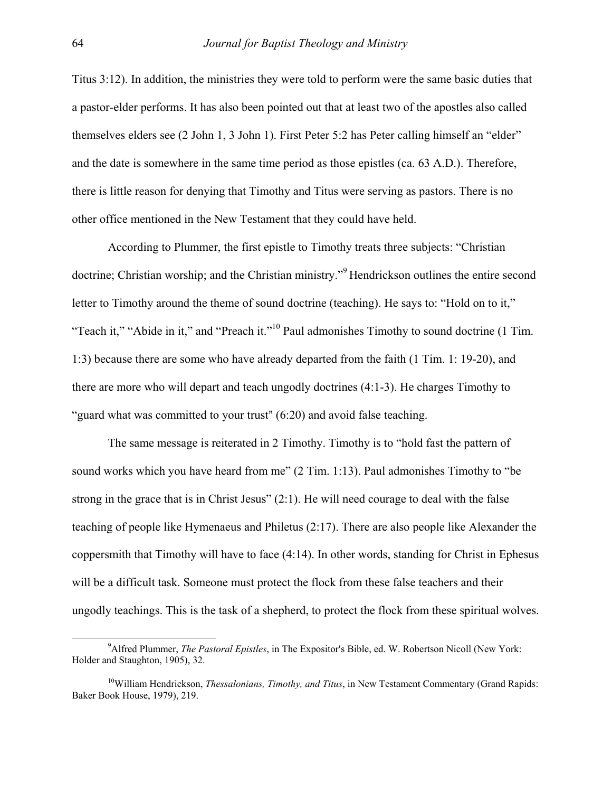Titus 3:12). In addition, the ministries they were told to perform were the same basic duties that a pastor-elder performs. It has also been pointed out that at least two of the apostles also called themselves elders see (2 John 1, 3 John 1). First Peter 5:2 has Peter calling himself an "elder" and the date is somewhere in the same time period as those epistles (ca. 63 A.D.). Therefore, there is little reason for denying that Timothy and Titus were serving as pastors. There is no other office mentioned in the New Testament that they could have held.

According to Plummer, the first epistle to Timothy treats three subjects: "Christian doctrine; Christian worship; and the Christian ministry."<sup>9</sup> Hendrickson outlines the entire second letter to Timothy around the theme of sound doctrine (teaching). He says to: "Hold on to it," "Teach it," "Abide in it," and "Preach it."<sup>10</sup> Paul admonishes Timothy to sound doctrine (1 Tim. 1:3) because there are some who have already departed from the faith (1 Tim. 1: 19-20), and there are more who will depart and teach ungodly doctrines (4:1-3). He charges Timothy to "guard what was committed to your trust"  $(6:20)$  and avoid false teaching.

The same message is reiterated in 2 Timothy. Timothy is to "hold fast the pattern of sound works which you have heard from me" (2 Tim. 1:13). Paul admonishes Timothy to "be strong in the grace that is in Christ Jesus" (2:1). He will need courage to deal with the false teaching of people like Hymenaeus and Philetus (2:17). There are also people like Alexander the coppersmith that Timothy will have to face (4:14). In other words, standing for Christ in Ephesus will be a difficult task. Someone must protect the flock from these false teachers and their ungodly teachings. This is the task of a shepherd, to protect the flock from these spiritual wolves.

<span id="page-8-0"></span> <sup>9</sup> <sup>9</sup> Alfred Plummer, *The Pastoral Epistles*, in The Expositor's Bible, ed. W. Robertson Nicoll (New York: Holder and Staughton, 1905), 32.

<span id="page-8-1"></span><sup>&</sup>lt;sup>10</sup>William Hendrickson, *Thessalonians, Timothy, and Titus*, in New Testament Commentary (Grand Rapids: Baker Book House, 1979), 219.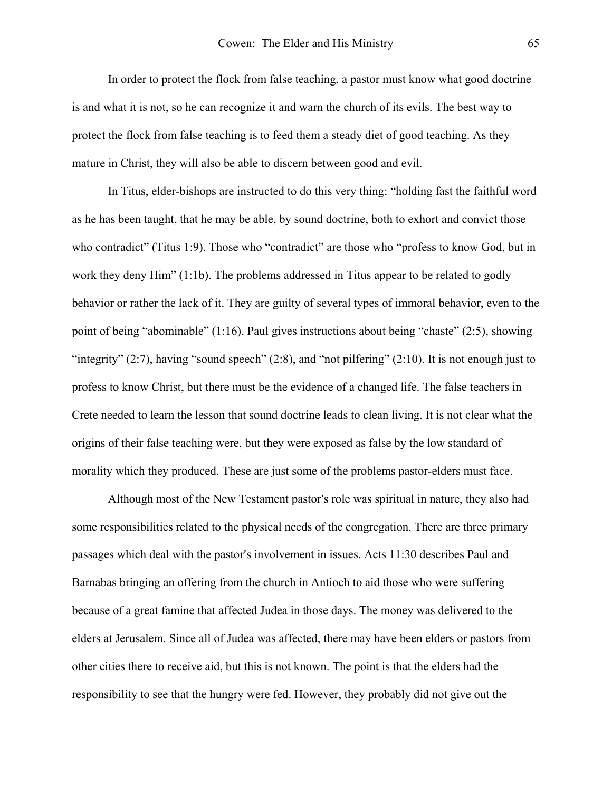In order to protect the flock from false teaching, a pastor must know what good doctrine is and what it is not, so he can recognize it and warn the church of its evils. The best way to protect the flock from false teaching is to feed them a steady diet of good teaching. As they mature in Christ, they will also be able to discern between good and evil.

In Titus, elder-bishops are instructed to do this very thing: "holding fast the faithful word as he has been taught, that he may be able, by sound doctrine, both to exhort and convict those who contradict" (Titus 1:9). Those who "contradict" are those who "profess to know God, but in work they deny Him" (1:1b). The problems addressed in Titus appear to be related to godly behavior or rather the lack of it. They are guilty of several types of immoral behavior, even to the point of being "abominable" (1:16). Paul gives instructions about being "chaste" (2:5), showing "integrity"  $(2:7)$ , having "sound speech"  $(2:8)$ , and "not pilfering"  $(2:10)$ . It is not enough just to profess to know Christ, but there must be the evidence of a changed life. The false teachers in Crete needed to learn the lesson that sound doctrine leads to clean living. It is not clear what the origins of their false teaching were, but they were exposed as false by the low standard of morality which they produced. These are just some of the problems pastor-elders must face.

Although most of the New Testament pastor's role was spiritual in nature, they also had some responsibilities related to the physical needs of the congregation. There are three primary passages which deal with the pastor's involvement in issues. Acts 11:30 describes Paul and Barnabas bringing an offering from the church in Antioch to aid those who were suffering because of a great famine that affected Judea in those days. The money was delivered to the elders at Jerusalem. Since all of Judea was affected, there may have been elders or pastors from other cities there to receive aid, but this is not known. The point is that the elders had the responsibility to see that the hungry were fed. However, they probably did not give out the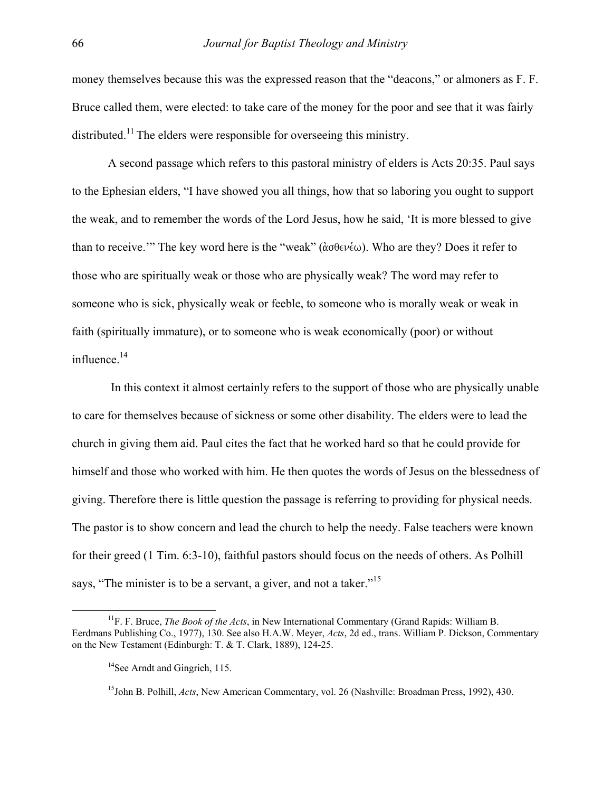money themselves because this was the expressed reason that the "deacons," or almoners as F. F. Bruce called them, were elected: to take care of the money for the poor and see that it was fairly distributed.<sup>11</sup> The elders were responsible for overseeing this ministry.

A second passage which refers to this pastoral ministry of elders is Acts 20:35. Paul says to the Ephesian elders, "I have showed you all things, how that so laboring you ought to support the weak, and to remember the words of the Lord Jesus, how he said, 'It is more blessed to give than to receive." The key word here is the "weak" ( $\alpha \theta \in V(\omega)$ ). Who are they? Does it refer to those who are spiritually weak or those who are physically weak? The word may refer to someone who is sick, physically weak or feeble, to someone who is morally weak or weak in faith (spiritually immature), or to someone who is weak economically (poor) or without influence.[14](#page-10-1) 

 In this context it almost certainly refers to the support of those who are physically unable to care for themselves because of sickness or some other disability. The elders were to lead the church in giving them aid. Paul cites the fact that he worked hard so that he could provide for himself and those who worked with him. He then quotes the words of Jesus on the blessedness of giving. Therefore there is little question the passage is referring to providing for physical needs. The pastor is to show concern and lead the church to help the needy. False teachers were known for their greed (1 Tim. 6:3-10), faithful pastors should focus on the needs of others. As Polhill says, "The minister is to be a servant, a giver, and not a taker."<sup>[15](#page-10-2)</sup>

<span id="page-10-0"></span> <sup>11</sup>F. F. Bruce, *The Book of the Acts*, in New International Commentary (Grand Rapids: William B. Eerdmans Publishing Co., 1977), 130. See also H.A.W. Meyer, *Acts*, 2d ed., trans. William P. Dickson, Commentary on the New Testament (Edinburgh: T. & T. Clark, 1889), 124-25.

<span id="page-10-1"></span><sup>&</sup>lt;sup>14</sup>See Arndt and Gingrich, 115.

<span id="page-10-2"></span><sup>15</sup>John B. Polhill, *Acts*, New American Commentary, vol. 26 (Nashville: Broadman Press, 1992), 430.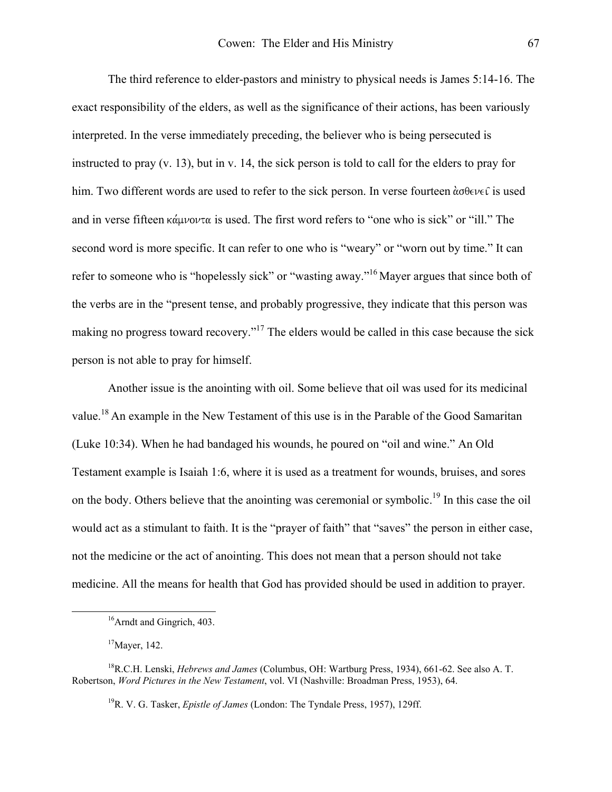The third reference to elder-pastors and ministry to physical needs is James 5:14-16. The exact responsibility of the elders, as well as the significance of their actions, has been variously interpreted. In the verse immediately preceding, the believer who is being persecuted is instructed to pray (v. 13), but in v. 14, the sick person is told to call for the elders to pray for him. Two different words are used to refer to the sick person. In verse fourteen  $\alpha \theta \in V \in \hat{\mathcal{L}}$  is used and in verse fifteen  $\kappa \alpha \mu \nu \circ \nu \tau \alpha$  is used. The first word refers to "one who is sick" or "ill." The second word is more specific. It can refer to one who is "weary" or "worn out by time." It can refer to someone who is "hopelessly sick" or "wasting away."[16](#page-11-0) Mayer argues that since both of the verbs are in the "present tense, and probably progressive, they indicate that this person was making no progress toward recovery."<sup>17</sup> The elders would be called in this case because the sick person is not able to pray for himself.

Another issue is the anointing with oil. Some believe that oil was used for its medicinal value.<sup>18</sup> An example in the New Testament of this use is in the Parable of the Good Samaritan (Luke 10:34). When he had bandaged his wounds, he poured on "oil and wine." An Old Testament example is Isaiah 1:6, where it is used as a treatment for wounds, bruises, and sores on the body. Others believe that the anointing was ceremonial or symbolic.<sup>19</sup> In this case the oil would act as a stimulant to faith. It is the "prayer of faith" that "saves" the person in either case, not the medicine or the act of anointing. This does not mean that a person should not take medicine. All the means for health that God has provided should be used in addition to prayer.

<span id="page-11-0"></span> <sup>16</sup>Arndt and Gingrich, 403.

<span id="page-11-2"></span><span id="page-11-1"></span> $17$ Mayer, 142.

<sup>18</sup>R.C.H. Lenski, *Hebrews and James* (Columbus, OH: Wartburg Press, 1934), 661-62. See also A. T. Robertson, *Word Pictures in the New Testament*, vol. VI (Nashville: Broadman Press, 1953), 64.

<span id="page-11-3"></span><sup>19</sup>R. V. G. Tasker, *Epistle of James* (London: The Tyndale Press, 1957), 129ff.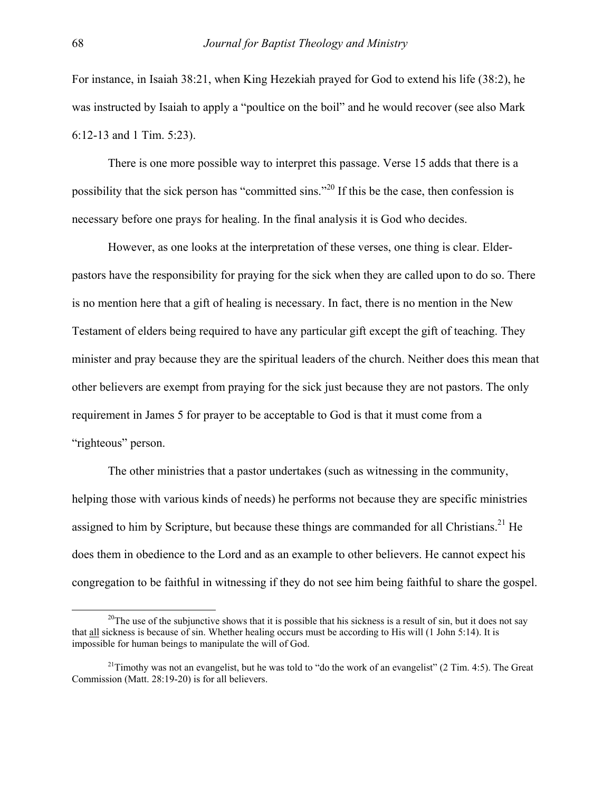For instance, in Isaiah 38:21, when King Hezekiah prayed for God to extend his life (38:2), he was instructed by Isaiah to apply a "poultice on the boil" and he would recover (see also Mark 6:12-13 and 1 Tim. 5:23).

There is one more possible way to interpret this passage. Verse 15 adds that there is a possibility that the sick person has "committed sins."2[0](#page-12-0) If this be the case, then confession is necessary before one prays for healing. In the final analysis it is God who decides.

However, as one looks at the interpretation of these verses, one thing is clear. Elderpastors have the responsibility for praying for the sick when they are called upon to do so. There is no mention here that a gift of healing is necessary. In fact, there is no mention in the New Testament of elders being required to have any particular gift except the gift of teaching. They minister and pray because they are the spiritual leaders of the church. Neither does this mean that other believers are exempt from praying for the sick just because they are not pastors. The only requirement in James 5 for prayer to be acceptable to God is that it must come from a "righteous" person.

The other ministries that a pastor undertakes (such as witnessing in the community, helping those with various kinds of needs) he performs not because they are specific ministries assigned to him by Scripture, but because these things are commanded for all Christians.<sup>21</sup> He does them in obedience to the Lord and as an example to other believers. He cannot expect his congregation to be faithful in witnessing if they do not see him being faithful to share the gospel.

<span id="page-12-0"></span><sup>&</sup>lt;sup>20</sup>The use of the subjunctive shows that it is possible that his sickness is a result of sin, but it does not say that all sickness is because of sin. Whether healing occurs must be according to His will (1 John 5:14). It is impossible for human beings to manipulate the will of God.

<span id="page-12-1"></span><sup>&</sup>lt;sup>21</sup>Timothy was not an evangelist, but he was told to "do the work of an evangelist" (2 Tim. 4:5). The Great Commission (Matt. 28:19-20) is for all believers.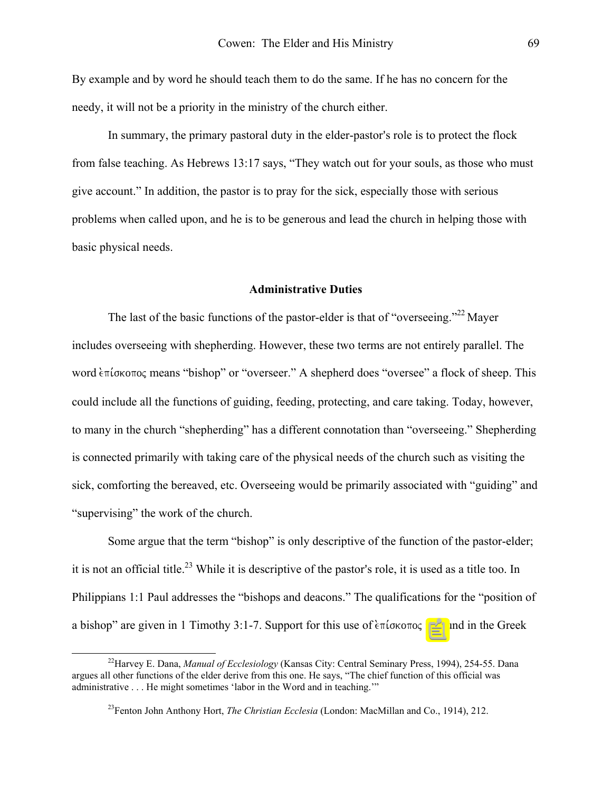By example and by word he should teach them to do the same. If he has no concern for the needy, it will not be a priority in the ministry of the church either.

In summary, the primary pastoral duty in the elder-pastor's role is to protect the flock from false teaching. As Hebrews 13:17 says, "They watch out for your souls, as those who must give account." In addition, the pastor is to pray for the sick, especially those with serious problems when called upon, and he is to be generous and lead the church in helping those with basic physical needs.

### **Administrative Duties**

The last of the basic functions of the pastor-elder is that of "overseeing."<sup>22</sup> Mayer includes overseeing with shepherding. However, these two terms are not entirely parallel. The word επίσκοπος means "bishop" or "overseer." A shepherd does "oversee" a flock of sheep. This could include all the functions of guiding, feeding, protecting, and care taking. Today, however, to many in the church "shepherding" has a different connotation than "overseeing." Shepherding is connected primarily with taking care of the physical needs of the church such as visiting the sick, comforting the bereaved, etc. Overseeing would be primarily associated with "guiding" and "supervising" the work of the church.

Some argue that the term "bishop" is only descriptive of the function of the pastor-elder; it is not an official title.<sup>23</sup> While it is descriptive of the pastor's role, it is used as a title too. In Philippians 1:1 Paul addresses the "bishops and deacons." The qualifications for the "position of a bishop" are given in 1 Timothy 3:1-7. Support for this use of  $\epsilon \pi$  ( $\epsilon \sigma \sigma$ ) is found in the Greek

<span id="page-13-0"></span> <sup>22</sup>Harvey E. Dana, *Manual of Ecclesiology* (Kansas City: Central Seminary Press, 1994), 254-55. Dana argues all other functions of the elder derive from this one. He says, "The chief function of this official was administrative . . . He might sometimes 'labor in the Word and in teaching.'"

<span id="page-13-1"></span><sup>23</sup>Fenton John Anthony Hort, *The Christian Ecclesia* (London: MacMillan and Co., 1914), 212.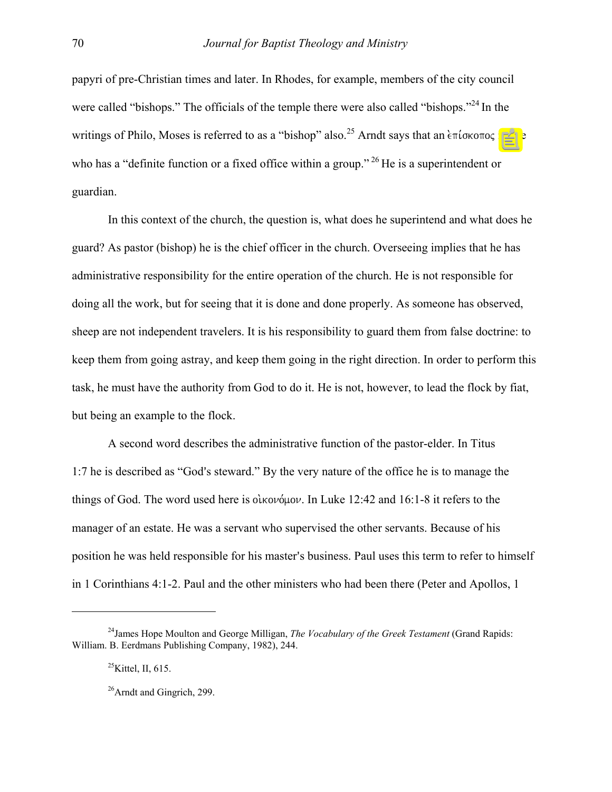papyri of pre-Christian times and later. In Rhodes, for example, members of the city council were called "bishops." The officials of the temple there were also called "bishops."<sup>24</sup> In the writings of Philo, Moses is referred to as a "bishop" also.<sup>25</sup> Arndt says that an  $\epsilon \pi i \sigma \kappa \sigma \sigma o \varsigma$  is one who has a "definite function or a fixed office within a group."<sup>26</sup> He is a superintendent or guardian.

In this context of the church, the question is, what does he superintend and what does he guard? As pastor (bishop) he is the chief officer in the church. Overseeing implies that he has administrative responsibility for the entire operation of the church. He is not responsible for doing all the work, but for seeing that it is done and done properly. As someone has observed, sheep are not independent travelers. It is his responsibility to guard them from false doctrine: to keep them from going astray, and keep them going in the right direction. In order to perform this task, he must have the authority from God to do it. He is not, however, to lead the flock by fiat, but being an example to the flock.

A second word describes the administrative function of the pastor-elder. In Titus 1:7 he is described as "God's steward." By the very nature of the office he is to manage the things of God. The word used here is  $\delta \omega \omega \omega$ . In Luke 12:42 and 16:1-8 it refers to the manager of an estate. He was a servant who supervised the other servants. Because of his position he was held responsible for his master's business. Paul uses this term to refer to himself in 1 Corinthians 4:1-2. Paul and the other ministers who had been there (Peter and Apollos, 1

 $\overline{a}$ 

<sup>24</sup>James Hope Moulton and George Milligan, *The Vocabulary of the Greek Testament* (Grand Rapids: William. B. Eerdmans Publishing Company, 1982), 244.

<span id="page-14-1"></span><span id="page-14-0"></span> $^{25}$ Kittel, II, 615.

<span id="page-14-2"></span> $^{26}$ Arndt and Gingrich, 299.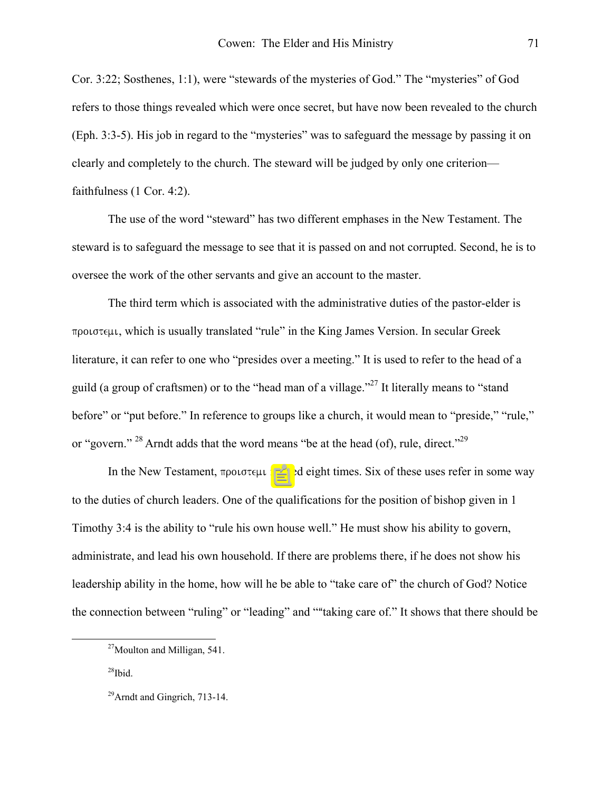Cor. 3:22; Sosthenes, 1:1), were "stewards of the mysteries of God." The "mysteries" of God refers to those things revealed which were once secret, but have now been revealed to the church (Eph. 3:3-5). His job in regard to the "mysteries" was to safeguard the message by passing it on clearly and completely to the church. The steward will be judged by only one criterion faithfulness (1 Cor. 4:2).

The use of the word "steward" has two different emphases in the New Testament. The steward is to safeguard the message to see that it is passed on and not corrupted. Second, he is to oversee the work of the other servants and give an account to the master.

The third term which is associated with the administrative duties of the pastor-elder is προιστεμι, which is usually translated "rule" in the King James Version. In secular Greek literature, it can refer to one who "presides over a meeting." It is used to refer to the head of a guild (a group of craftsmen) or to the "head man of a village."<sup>27</sup> It literally means to "stand" before" or "put before." In reference to groups like a church, it would mean to "preside," "rule," or "govern."  $^{28}$  Arndt adds that the word means "be at the head (of), rule, direct."  $^{29}$  $^{29}$  $^{29}$ 

In the New Testament,  $\pi \rho o \sigma \tau \in \mu$  is used eight times. Six of these uses refer in some way to the duties of church leaders. One of the qualifications for the position of bishop given in 1 Timothy 3:4 is the ability to "rule his own house well." He must show his ability to govern, administrate, and lead his own household. If there are problems there, if he does not show his leadership ability in the home, how will he be able to "take care of" the church of God? Notice the connection between "ruling" or "leading" and ""taking care of." It shows that there should be

<span id="page-15-1"></span> $^{28}$ Ibid.

<span id="page-15-0"></span> $27$ Moulton and Milligan, 541.

<span id="page-15-2"></span> $^{29}$ Arndt and Gingrich, 713-14.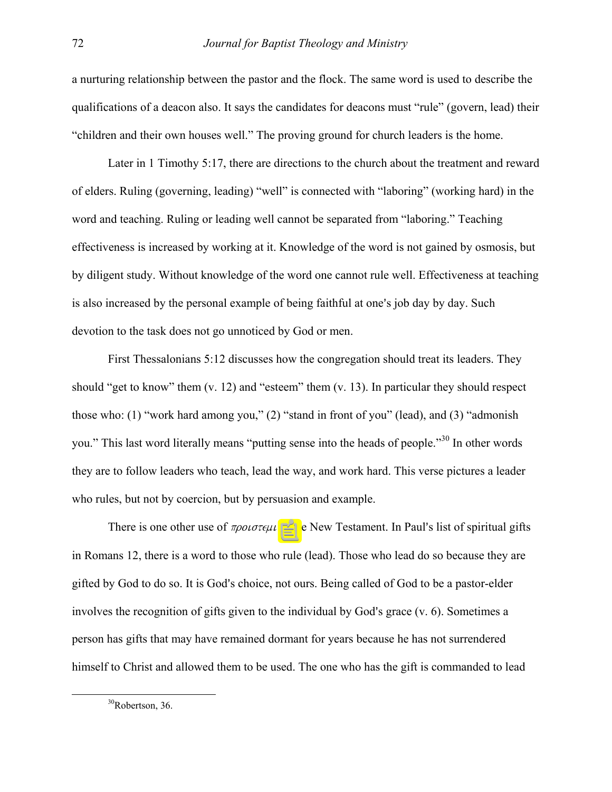a nurturing relationship between the pastor and the flock. The same word is used to describe the qualifications of a deacon also. It says the candidates for deacons must "rule" (govern, lead) their "children and their own houses well." The proving ground for church leaders is the home.

Later in 1 Timothy 5:17, there are directions to the church about the treatment and reward of elders. Ruling (governing, leading) "well" is connected with "laboring" (working hard) in the word and teaching. Ruling or leading well cannot be separated from "laboring." Teaching effectiveness is increased by working at it. Knowledge of the word is not gained by osmosis, but by diligent study. Without knowledge of the word one cannot rule well. Effectiveness at teaching is also increased by the personal example of being faithful at one's job day by day. Such devotion to the task does not go unnoticed by God or men.

First Thessalonians 5:12 discusses how the congregation should treat its leaders. They should "get to know" them (v. 12) and "esteem" them (v. 13). In particular they should respect those who: (1) "work hard among you," (2) "stand in front of you" (lead), and (3) "admonish you." This last word literally means "putting sense into the heads of people."3[0](#page-16-0) In other words they are to follow leaders who teach, lead the way, and work hard. This verse pictures a leader who rules, but not by coercion, but by persuasion and example.

There is one other use of  $\pi \rho \omega \sigma \tau \epsilon \mu \nu$  in the New Testament. In Paul's list of spiritual gifts in Romans 12, there is a word to those who rule (lead). Those who lead do so because they are gifted by God to do so. It is God's choice, not ours. Being called of God to be a pastor-elder involves the recognition of gifts given to the individual by God's grace  $(v, 6)$ . Sometimes a person has gifts that may have remained dormant for years because he has not surrendered himself to Christ and allowed them to be used. The one who has the gift is commanded to lead

<span id="page-16-0"></span> <sup>30</sup>Robertson, 36.